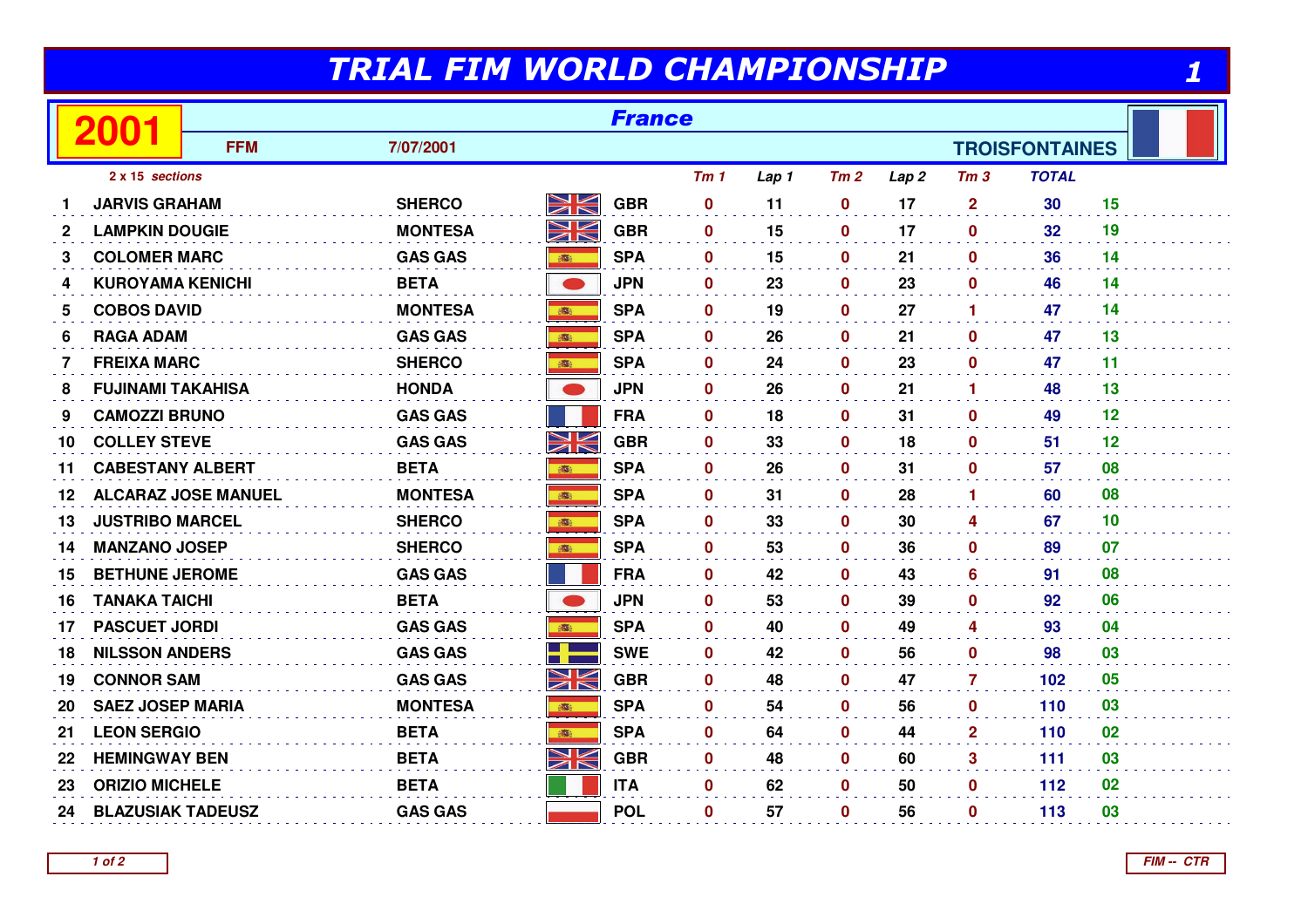## TRIAL FIM WORLD CHAMPIONSHIP

|                 | 2001                       | <b>France</b> |                |             |            |                 |       |              |                  |                      |                       |    |  |
|-----------------|----------------------------|---------------|----------------|-------------|------------|-----------------|-------|--------------|------------------|----------------------|-----------------------|----|--|
|                 |                            | <b>FFM</b>    | 7/07/2001      |             |            |                 |       |              |                  |                      | <b>TROISFONTAINES</b> |    |  |
| 2 x 15 sections |                            |               |                |             |            | Tm <sub>1</sub> | Lap 1 | Tm2          | Lap <sub>2</sub> | Tm <sub>3</sub>      | <b>TOTAL</b>          |    |  |
|                 | <b>JARVIS GRAHAM</b>       |               | <b>SHERCO</b>  | <u>NK</u>   | <b>GBR</b> | 0               | 11    | $\mathbf 0$  | 17               | $\overline{2}$       | 30                    | 15 |  |
| $\mathbf{2}$    | <b>LAMPKIN DOUGIE</b>      |               | <b>MONTESA</b> | NK<br>ZK    | <b>GBR</b> | $\mathbf{0}$    | 15    | $\mathbf 0$  | 17               | $\mathbf{0}$         | 32                    | 19 |  |
| 3               | <b>COLOMER MARC</b>        |               | <b>GAS GAS</b> | <b>BEER</b> | <b>SPA</b> | $\mathbf{0}$    | 15    | $\mathbf 0$  | 21               | $\mathbf 0$          | 36                    | 14 |  |
| 4               | <b>KUROYAMA KENICHI</b>    |               | <b>BETA</b>    |             | <b>JPN</b> | $\mathbf 0$     | 23    | $\mathbf 0$  | 23               | $\mathbf 0$          | 46                    | 14 |  |
| 5               | <b>COBOS DAVID</b>         |               | <b>MONTESA</b> |             | <b>SPA</b> | $\mathbf 0$     | 19    | 0            | 27               | $\blacktriangleleft$ | 47                    | 14 |  |
| 6               | <b>RAGA ADAM</b>           |               | <b>GAS GAS</b> | 高           | <b>SPA</b> | $\mathbf{0}$    | 26    | $\mathbf 0$  | 21               | $\mathbf{0}$         | 47                    | 13 |  |
| 7               | <b>FREIXA MARC</b>         |               | <b>SHERCO</b>  |             | <b>SPA</b> | 0               | 24    | $\mathbf 0$  | 23               | $\mathbf{0}$         | 47                    | 11 |  |
| 8               | <b>FUJINAMI TAKAHISA</b>   |               | <b>HONDA</b>   |             | <b>JPN</b> | $\mathbf 0$     | 26    | 0            | 21               | 1                    | 48                    | 13 |  |
| 9               | <b>CAMOZZI BRUNO</b>       |               | <b>GAS GAS</b> |             | <b>FRA</b> | $\mathbf{0}$    | 18    | $\mathbf 0$  | 31               | $\mathbf{0}$         | 49                    | 12 |  |
| 10              | <b>COLLEY STEVE</b>        |               | <b>GAS GAS</b> | NK<br>ZK    | <b>GBR</b> | 0               | 33    | $\mathbf 0$  | 18               | $\mathbf 0$          | 51                    | 12 |  |
| 11              | <b>CABESTANY ALBERT</b>    |               | <b>BETA</b>    | 1001        | <b>SPA</b> | $\mathbf 0$     | 26    | 0            | 31               | $\mathbf{0}$         | 57                    | 08 |  |
| 12              | <b>ALCARAZ JOSE MANUEL</b> |               | <b>MONTESA</b> | 瓣           | <b>SPA</b> | $\mathbf{0}$    | 31    | $\mathbf 0$  | 28               | $\blacktriangleleft$ | 60                    | 08 |  |
| 13              | <b>JUSTRIBO MARCEL</b>     |               | <b>SHERCO</b>  | <b>BOOK</b> | <b>SPA</b> | $\bf{0}$        | 33    | 0            | 30               | 4                    | 67                    | 10 |  |
| 14              | <b>MANZANO JOSEP</b>       |               | <b>SHERCO</b>  | 高           | <b>SPA</b> | $\mathbf 0$     | 53    | $\mathbf 0$  | 36               | $\mathbf 0$          | 89                    | 07 |  |
| 15              | <b>BETHUNE JEROME</b>      |               | <b>GAS GAS</b> |             | <b>FRA</b> | $\mathbf 0$     | 42    | $\mathbf 0$  | 43               | 6                    | 91                    | 08 |  |
| 16              | <b>TANAKA TAICHI</b>       |               | <b>BETA</b>    |             | <b>JPN</b> | $\mathbf{0}$    | 53    | $\mathbf{0}$ | 39               | $\mathbf{0}$         | 92                    | 06 |  |
| 17              | <b>PASCUET JORDI</b>       |               | <b>GAS GAS</b> |             | <b>SPA</b> | $\mathbf{0}$    | 40    | $\mathbf 0$  | 49               | 4                    | 93                    | 04 |  |
| 18              | <b>NILSSON ANDERS</b>      |               | <b>GAS GAS</b> | 3           | <b>SWE</b> | $\mathbf 0$     | 42    | 0            | 56               | $\mathbf 0$          | 98                    | 03 |  |
| 19              | <b>CONNOR SAM</b>          |               | <b>GAS GAS</b> | N<br>K      | <b>GBR</b> | $\mathbf{0}$    | 48    | 0            | 47               | 7                    | 102                   | 05 |  |
| 20              | <b>SAEZ JOSEP MARIA</b>    |               | <b>MONTESA</b> |             | <b>SPA</b> | $\mathbf{0}$    | 54    | $\mathbf 0$  | 56               | $\mathbf{0}$         | 110                   | 03 |  |
| 21              | <b>LEON SERGIO</b>         |               | <b>BETA</b>    | 高           | <b>SPA</b> | $\mathbf 0$     | 64    | $\mathbf 0$  | 44               | $\mathbf{2}$         | 110                   | 02 |  |
| 22              | <b>HEMINGWAY BEN</b>       |               | <b>BETA</b>    | XK          | <b>GBR</b> | $\mathbf 0$     | 48    | 0            | 60               | 3                    | 111                   | 03 |  |
| 23              | <b>ORIZIO MICHELE</b>      |               | <b>BETA</b>    |             | <b>ITA</b> | $\mathbf{0}$    | 62    | $\mathbf 0$  | 50               | $\mathbf{0}$         | 112                   | 02 |  |
| 24              | <b>BLAZUSIAK TADEUSZ</b>   |               | <b>GAS GAS</b> |             | <b>POL</b> | $\mathbf 0$     | 57    | $\bf{0}$     | 56               | $\mathbf{0}$         | 113                   | 03 |  |

1

**1 of 2**